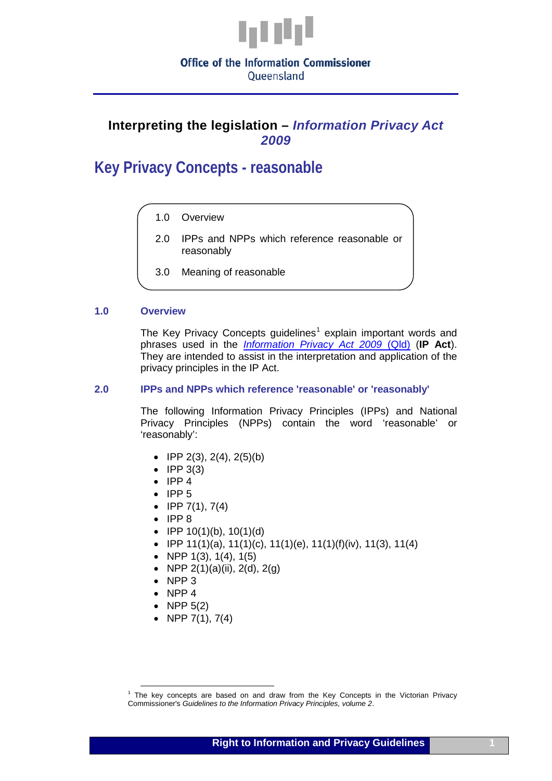

Oueensland

# **Interpreting the legislation –** *Information Privacy Act 2009*

**Key Privacy Concepts - reasonable**

- 1.0 Overview
- 2.0 IPPs and NPPs which reference reasonable or reasonably
- 3.0 Meaning of reasonable

### **1.0 Overview**

The Key Privacy Concepts quidelines<sup>[1](#page-1-0)</sup> explain important words and phrases used in the *[Information Privacy Act 2009](http://www.legislation.qld.gov.au/LEGISLTN/CURRENT/I/InfoPrivA09.pdf)* (Qld) (**IP Act**). They are intended to assist in the interpretation and application of the privacy principles in the IP Act.

#### **2.0 IPPs and NPPs which reference 'reasonable' or 'reasonably'**

The following Information Privacy Principles (IPPs) and National Privacy Principles (NPPs) contain the word 'reasonable' or 'reasonably':

- IPP  $2(3)$ ,  $2(4)$ ,  $2(5)(b)$
- $\bullet$  IPP 3(3)
- IPP 4
- IPP 5
- IPP  $7(1), 7(4)$
- IPP 8
- IPP  $10(1)(b)$ ,  $10(1)(d)$
- IPP 11(1)(a), 11(1)(c), 11(1)(e), 11(1)(f)(iv), 11(3), 11(4)
- NPP  $1(3)$ ,  $1(4)$ ,  $1(5)$
- NPP  $2(1)(a)(ii)$ ,  $2(d)$ ,  $2(g)$
- NPP 3
- NPP 4
- NPP 5(2)
- NPP  $7(1)$ ,  $7(4)$

 $<sup>1</sup>$  The key concepts are based on and draw from the Key Concepts in the Victorian Privacy</sup> Commissioner's *Guidelines to the Information Privacy Principles, volume 2*.